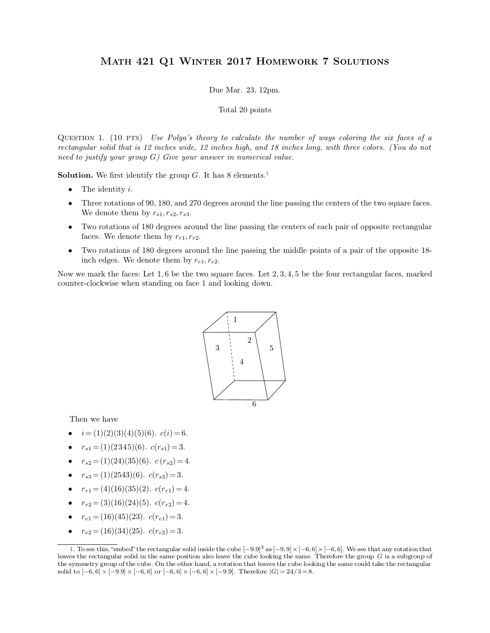## Math 421 Q1 Winter 2017 Homework 7 Solutions MATH 421 Q1 WINTER 2017 HOMEWORK 7 SOLUTIONS<br>Due Mar. 23, 12pm.<br>Total 20 points

 $X$  2017 **HOMEW**<br>
1e Mar. 23, 12pm.<br>
Total 20 points

<span id="page-0-0"></span>

Due Mar. 23, 12pm.<br>
Total 20 points<br>
QUESTION 1. (10 PTS) *Use Polya's theory to calculate the number of ways coloring the six faces of a*<br> *rectangular solid that is 12 inches wide, 12 inches high, and 18 inches long, wit rectangular solid that is 12 inches wide, 12 inches high, and 18 inches long, with three colors. (You do not* need to justify your group *G*) *Give your answer in numerical value. need to justify your group G*) *Give Polya's theory to calculate the number c* rectangular solid that is 12 inches wide, 12 inches high, and 18 inches low need to justify your group *G*) *Give your answer in numerical v* QUESTION 1. (10 PTS) Use Polya's theory to calculate the number of ways coloring the six faces of a<br>rectangular solid that is 12 inches wide, 12 inches high, and 18 inches long, with three colors. (You do not<br>need to just

- 
- 
- **The identity** *i*.<br>
 The identity *i*.<br>
 Three rotations of 90, 180, and 270 degrees around the line passing the centers of the two square faces.<br>
We denote them by  $r_{s1}, r_{s2}, r_{s3}$ .<br>
 Two rotations of 180 degrees ar Face rotations of 90, 180, and 270 degrees around the line passing the centers of the two square faces.<br>We denote them by  $r_{s1}, r_{s2}, r_{s3}$ .<br>Two rotations of 180 degrees around the line passing the centers of each pair of
- faces. We denote them by  $r_{r1}$ ,  $r_{r2}$ .<br>
 Two rotations of 180 degrees around the line passing the middle points of a pair of the opposite 18-<br>
inch edges. We denote them by  $r_{e1}$ ,  $r_{e2}$ .<br>
Now we mark the faces: L

**inch edges.** We denote them by  $r_{s1}$ ,  $r_{s2}$ ,  $r_{s3}$ .<br>
• Two rotations of 180 degrees around the line passing the centers of each pair of opposite rectangular faces. We denote them by  $r_{r1}$ ,  $r_{r2}$ .<br>
• Two rotati



- 
- 
- 
- 
- 
- 
- 
- 

 $[-6, 6] \times$  $[-6, 6]$ . We see that any rotation that<br>erefore the group  $G$  is a subgroup of<br>r the general teles the nector when  $r_{e1} = (16)(34)(25)$ .  $c(r_{e1}) = 3$ .<br>
1. To see this, "embed" the rectangular solid inside the cube  $[-9.9]^3$  as  $[-9.9] \times [-6,6] \times [-6,6]$ . We see that any rotation that leaves the rectangular solid in the same position also leave •  $r_{e2} = (16)(34)(25)$ .  $c(r_{e2}) = 3$ .<br>
1. To see this, "embed" the rectangular solid inside the cube  $[-9.9]^3$  as  $[-9,9] \times [-6,6] \times [-6,6]$ . We see that any rotation that leaves the rectangular solid in the same position also lea •  $r_{e2} = (16)(34)(25)$ .  $c(r_{e2}) = 3$ .<br>1. To see this, "embed" the rectangular solid inside the cube  $[-9.9]^3$  as  $[-9,9] \times [-6,6] \times [-6,6]$ . We see that any rotation that leaves the rectangular solid in the same position also leav  $[-9.9] \times [-6, 6]$  or  $[-6, 6] \times [-6, 6] \times [-9]$ the cube  $[-9.9]^3$  as  $[-9,9] \times [-6,6] \times [-6,6]$ <br>leave the cube looking the same. Therefore<br>*r*otation that leaves the cube looking the sa<br> $[-9.9]$ . Therefore  $|G| = 24/3 = 8$ .